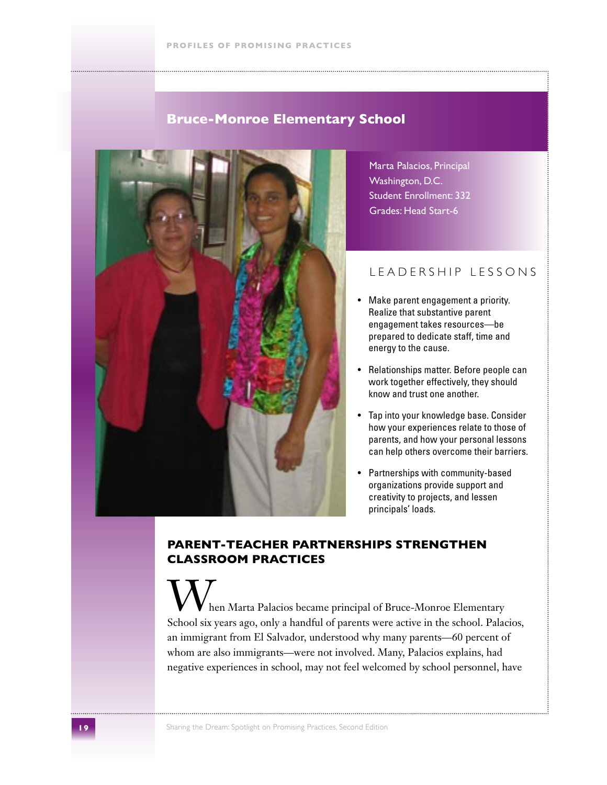# **Bruce-Monroe Elementary School**



Marta Palacios, Principal Washington, D.C. Student Enrollment: 332 Grades: Head Start-6

### L E A D E R S H I P L E S S O N S

- Make parent engagement a priority. Realize that substantive parent engagement takes resources—be prepared to dedicate staff, time and energy to the cause.
- Relationships matter. Before people can work together effectively, they should know and trust one another.
- Tap into your knowledge base. Consider how your experiences relate to those of parents, and how your personal lessons can help others overcome their barriers.
- Partnerships with community-based organizations provide support and creativity to projects, and lessen principals' loads.

### **Parent-Teacher Partnerships Strengthen Classroom Practices**

hen Marta Palacios became principal of Bruce-Monroe Elementary School six years ago, only a handful of parents were active in the school. Palacios, an immigrant from El Salvador, understood why many parents—60 percent of whom are also immigrants—were not involved. Many, Palacios explains, had negative experiences in school, may not feel welcomed by school personnel, have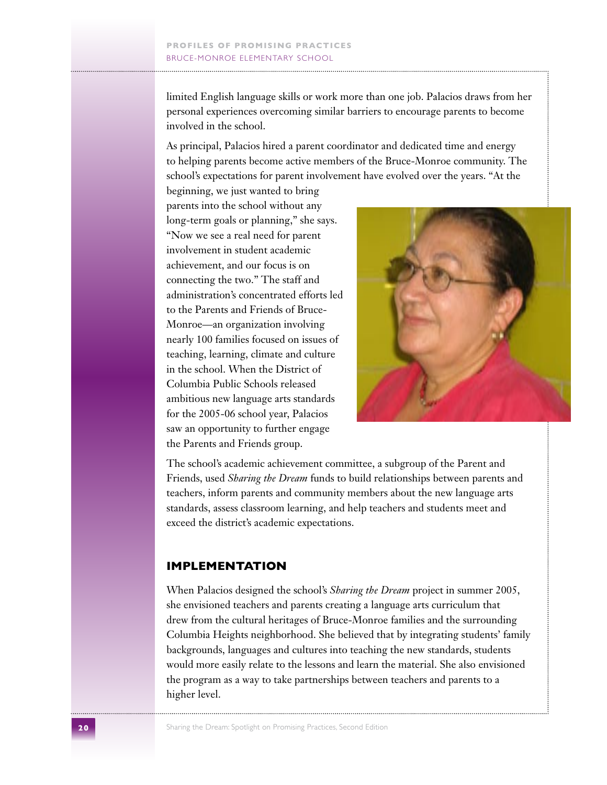limited English language skills or work more than one job. Palacios draws from her personal experiences overcoming similar barriers to encourage parents to become involved in the school.

As principal, Palacios hired a parent coordinator and dedicated time and energy to helping parents become active members of the Bruce-Monroe community. The school's expectations for parent involvement have evolved over the years. "At the

beginning, we just wanted to bring parents into the school without any long-term goals or planning," she says. "Now we see a real need for parent involvement in student academic achievement, and our focus is on connecting the two." The staff and administration's concentrated efforts led to the Parents and Friends of Bruce-Monroe—an organization involving nearly 100 families focused on issues of teaching, learning, climate and culture in the school. When the District of Columbia Public Schools released ambitious new language arts standards for the 2005-06 school year, Palacios saw an opportunity to further engage the Parents and Friends group.



The school's academic achievement committee, a subgroup of the Parent and Friends, used *Sharing the Dream* funds to build relationships between parents and teachers, inform parents and community members about the new language arts standards, assess classroom learning, and help teachers and students meet and exceed the district's academic expectations.

#### **Implementation**

When Palacios designed the school's *Sharing the Dream* project in summer 2005, she envisioned teachers and parents creating a language arts curriculum that drew from the cultural heritages of Bruce-Monroe families and the surrounding Columbia Heights neighborhood. She believed that by integrating students' family backgrounds, languages and cultures into teaching the new standards, students would more easily relate to the lessons and learn the material. She also envisioned the program as a way to take partnerships between teachers and parents to a higher level.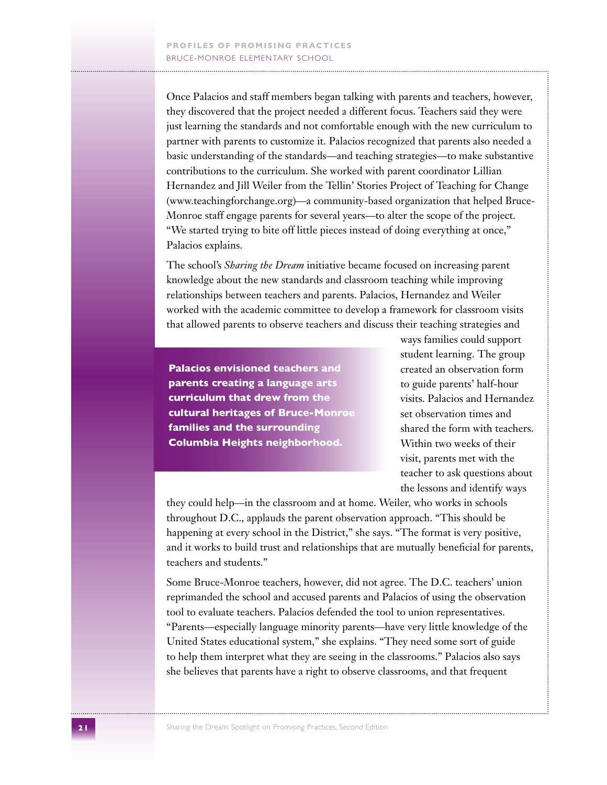Once Palacios and staff members began talking with parents and teachers, however, they discovered that the project needed a different focus. Teachers said they were just learning the standards and not comfortable enough with the new curriculum to partner with parents to customize it. Palacios recognized that parents also needed a basic understanding of the standards—and teaching strategies—to make substantive contributions to the curriculum. She worked with parent coordinator Lillian Hernandez and Jill Weiler from the Tellin' Stories Project of Teaching for Change (www.teachingforchange.org)—a community-based organization that helped Bruce-Monroe staff engage parents for several years—to alter the scope of the project. "We started trying to bite off little pieces instead of doing everything at once," Palacios explains.

The school's *Sharing the Dream* initiative became focused on increasing parent knowledge about the new standards and classroom teaching while improving relationships between teachers and parents. Palacios, Hernandez and Weiler worked with the academic committee to develop a framework for classroom visits that allowed parents to observe teachers and discuss their teaching strategies and

**Palacios envisioned teachers and parents creating a language arts curriculum that drew from the cultural heritages of Bruce-Monroe families and the surrounding Columbia Heights neighborhood.**

ways families could support student learning. The group created an observation form to guide parents' half-hour visits. Palacios and Hernandez set observation times and shared the form with teachers. Within two weeks of their visit, parents met with the teacher to ask questions about the lessons and identify ways

they could help—in the classroom and at home. Weiler, who works in schools throughout D.C., applauds the parent observation approach. "This should be happening at every school in the District," she says. "The format is very positive, and it works to build trust and relationships that are mutually beneficial for parents, teachers and students."

Some Bruce-Monroe teachers, however, did not agree. The D.C. teachers' union reprimanded the school and accused parents and Palacios of using the observation tool to evaluate teachers. Palacios defended the tool to union representatives. "Parents—especially language minority parents—have very little knowledge of the United States educational system," she explains. "They need some sort of guide to help them interpret what they are seeing in the classrooms." Palacios also says she believes that parents have a right to observe classrooms, and that frequent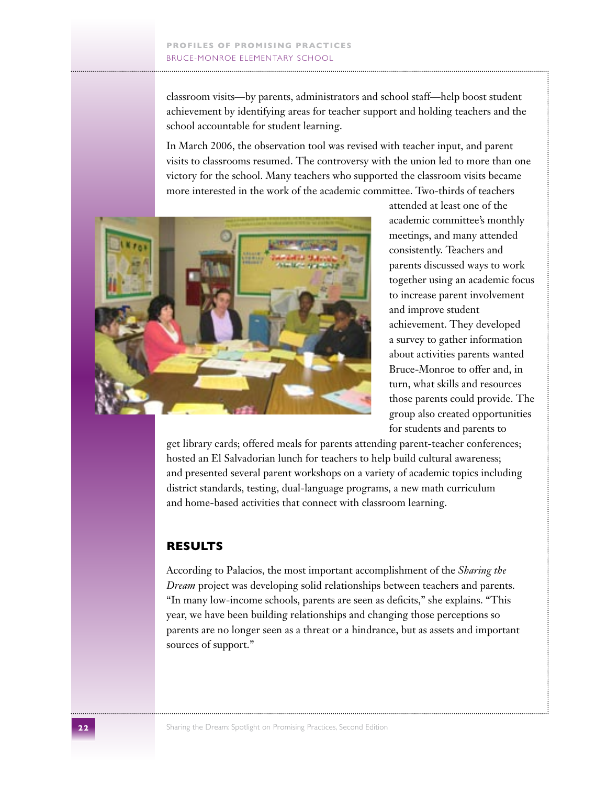classroom visits—by parents, administrators and school staff—help boost student achievement by identifying areas for teacher support and holding teachers and the school accountable for student learning.

In March 2006, the observation tool was revised with teacher input, and parent visits to classrooms resumed. The controversy with the union led to more than one victory for the school. Many teachers who supported the classroom visits became more interested in the work of the academic committee. Two-thirds of teachers



attended at least one of the academic committee's monthly meetings, and many attended consistently. Teachers and parents discussed ways to work together using an academic focus to increase parent involvement and improve student achievement. They developed a survey to gather information about activities parents wanted Bruce-Monroe to offer and, in turn, what skills and resources those parents could provide. The group also created opportunities for students and parents to

get library cards; offered meals for parents attending parent-teacher conferences; hosted an El Salvadorian lunch for teachers to help build cultural awareness; and presented several parent workshops on a variety of academic topics including district standards, testing, dual-language programs, a new math curriculum and home-based activities that connect with classroom learning.

## **Results**

According to Palacios, the most important accomplishment of the *Sharing the Dream* project was developing solid relationships between teachers and parents. "In many low-income schools, parents are seen as deficits," she explains. "This year, we have been building relationships and changing those perceptions so parents are no longer seen as a threat or a hindrance, but as assets and important sources of support."